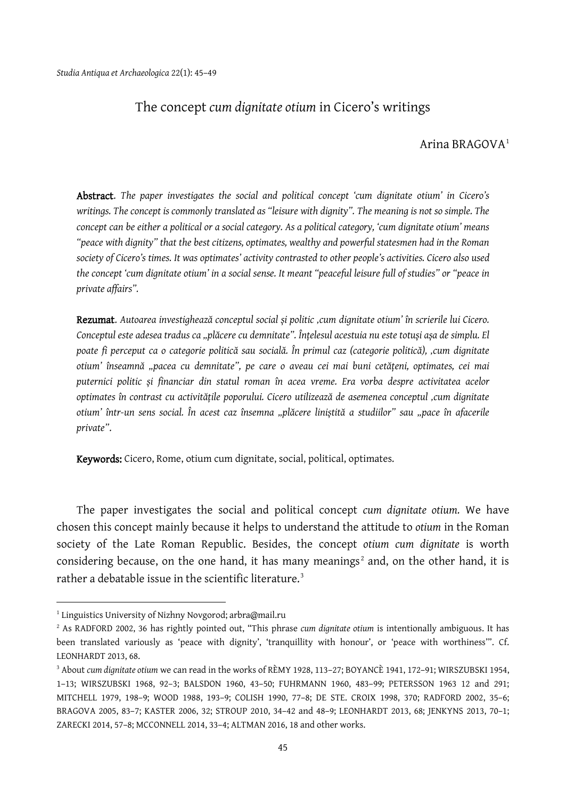## The concept *cum dignitate otium* in Cicero's writings

## Arina BRAGOVA<sup>[1](#page-0-0)</sup>

Abstract. *The paper investigates the social and political concept 'cum dignitate otium' in Cicero's writings. The concept is commonly translated as "leisure with dignity". The meaning is not so simple. The concept can be either a political or a social category. As a political category, 'cum dignitate otium' means "peace with dignity" that the best citizens, optimates, wealthy and powerful statesmen had in the Roman society of Cicero's times. It was optimates' activity contrasted to other people's activities. Cicero also used the concept 'cum dignitate otium' in a social sense. It meant "peaceful leisure full of studies" or "peace in private affairs".*

Rezumat. *Autoarea investighează conceptul social și politic 'cum dignitate otium' în scrierile lui Cicero. Conceptul este adesea tradus ca "plăcere cu demnitate". Înțelesul acestuia nu este totuși așa de simplu. El poate fi perceput ca o categorie politică sau socială. În primul caz (categorie politică), 'cum dignitate otium' înseamnă "pacea cu demnitate", pe care o aveau cei mai buni cetățeni, optimates, cei mai puternici politic și financiar din statul roman în acea vreme. Era vorba despre activitatea acelor optimates în contrast cu activitățile poporului. Cicero utilizează de asemenea conceptul 'cum dignitate otium' într-un sens social. În acest caz însemna "plăcere liniștită a studiilor" sau "pace în afacerile private"*.

Keywords: Cicero, Rome, otium cum dignitate, social, political, optimates.

The paper investigates the social and political concept *cum dignitate otium.* We have chosen this concept mainly because it helps to understand the attitude to *otium* in the Roman society of the Late Roman Republic. Besides, the concept *otium cum dignitate* is worth considering because, on the one hand, it has many meanings<sup>[2](#page-0-1)</sup> and, on the other hand, it is rather a debatable issue in the scientific literature.<sup>[3](#page-0-2)</sup>

 $\overline{a}$ 

<span id="page-0-0"></span><sup>&</sup>lt;sup>1</sup> Linguistics University of Nizhny Novgorod; arbra@mail.ru

<span id="page-0-1"></span><sup>2</sup> As RADFORD 2002, 36 has rightly pointed out, "This phrase *cum dignitate otium* is intentionally ambiguous. It has been translated variously as 'peace with dignity', 'tranquillity with honour', or 'peace with worthiness'". Cf. LEONHARDT 2013, 68.

<span id="page-0-2"></span><sup>3</sup> About *cum dignitate otium* we can read in the works of RЀMY 1928, 113–27; BOYANCЀ 1941, 172–91; WIRSZUBSKI 1954, 1–13; WIRSZUBSKI 1968, 92–3; BALSDON 1960, 43–50; FUHRMANN 1960, 483–99; PETERSSON 1963 12 and 291; MITCHELL 1979, 198–9; WOOD 1988, 193–9; COLISH 1990, 77–8; DE STE. CROIX 1998, 370; RADFORD 2002, 35–6; BRAGOVA 2005, 83–7; KASTER 2006, 32; STROUP 2010, 34–42 and 48–9; LEONHARDT 2013, 68; JENKYNS 2013, 70–1; ZARECKI 2014, 57–8; MCCONNELL 2014, 33–4; ALTMAN 2016, 18 and other works.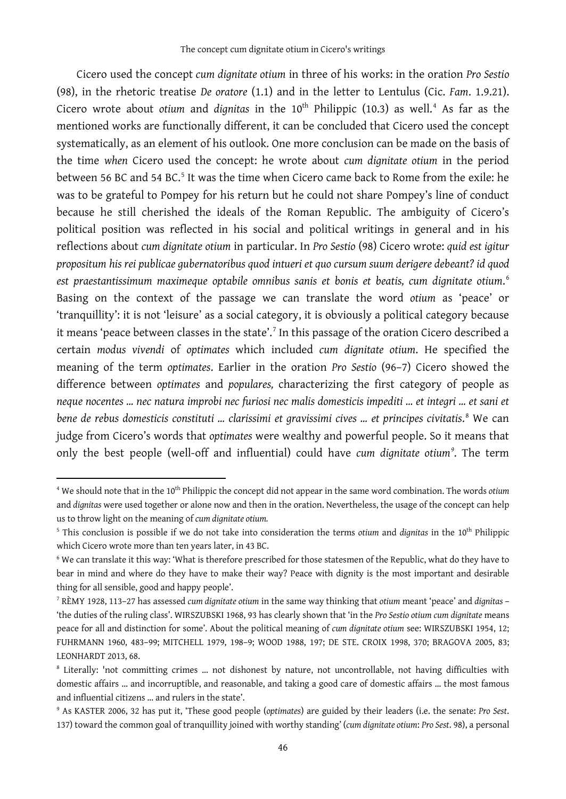Cicero used the concept *cum dignitate otium* in three of his works: in the oration *Pro Sestio* (98), in the rhetoric treatise *De oratore* (1.1) and in the letter to Lentulus (Cic. *Fam*. 1.9.21). Cicero wrote about *otium* and *dignitas* in the 10<sup>th</sup> Philippic (10.3) as well.<sup>[4](#page-1-0)</sup> As far as the mentioned works are functionally different, it can be concluded that Cicero used the concept systematically, as an element of his outlook. One more conclusion can be made on the basis of the time *when* Cicero used the concept: he wrote about *cum dignitate otium* in the period between [5](#page-1-1)6 BC and 54 BC.<sup>5</sup> It was the time when Cicero came back to Rome from the exile: he was to be grateful to Pompey for his return but he could not share Pompey's line of conduct because he still cherished the ideals of the Roman Republic. The ambiguity of Cicero's political position was reflected in his social and political writings in general and in his reflections about *cum dignitate otium* in particular. In *Pro Sestio* (98) Cicero wrote: *quid est igitur propositum his rei publicae gubernatoribus quod intueri et quo cursum suum derigere debeant? id quod est praestantissimum maximeque optabile omnibus sanis et bonis et beatis, cum dignitate otium*. [6](#page-1-2) Basing on the context of the passage we can translate the word *otium* as 'peace' or 'tranquillity': it is not 'leisure' as a social category, it is obviously a political category because it means 'peace between classes in the state'.[7](#page-1-3) In this passage of the oration Cicero described a certain *modus vivendi* of *optimates* which included *cum dignitate otium*. He specified the meaning of the term *optimates*. Earlier in the oration *Pro Sestio* (96–7) Cicero showed the difference between *optimates* and *populares,* characterizing the first category of people as *neque nocentes … nec natura improbi nec furiosi nec malis domesticis impediti … et integri … et sani et bene de rebus domesticis constituti … clarissimi et gravissimi cives … et principes civitatis*. [8](#page-1-4) We can judge from Cicero's words that *optimates* were wealthy and powerful people. So it means that only the best people (well-off and influential) could have *cum dignitate otium[9](#page-1-5)* . The term

1

<span id="page-1-0"></span><sup>&</sup>lt;sup>4</sup> We should note that in the 10<sup>th</sup> Philippic the concept did not appear in the same word combination. The words *otium* and *dignitas* were used together or alone now and then in the oration. Nevertheless, the usage of the concept can help us to throw light on the meaning of *cum dignitate otium.*

<span id="page-1-1"></span><sup>5</sup> This conclusion is possible if we do not take into consideration the terms *otium* and *dignitas* in the 10th Philippic which Cicero wrote more than ten years later, in 43 BC.

<span id="page-1-2"></span><sup>6</sup> We can translate it this way: 'What is therefore prescribed for those statesmen of the Republic, what do they have to bear in mind and where do they have to make their way? Peace with dignity is the most important and desirable thing for all sensible, good and happy people'.

<span id="page-1-3"></span><sup>7</sup> RЀMY 1928, 113–27 has assessed *cum dignitate otium* in the same way thinking that *otium* meant 'peace' and *dignitas* – 'the duties of the ruling class'. WIRSZUBSKI 1968, 93 has clearly shown that 'in the *Pro Sestio otium cum dignitate* means peace for all and distinction for some'. About the political meaning of *cum dignitate otium* see: WIRSZUBSKI 1954, 12; FUHRMANN 1960, 483–99; MITCHELL 1979, 198–9; WOOD 1988, 197; DE STE. CROIX 1998, 370; BRAGOVA 2005, 83; LEONHARDT 2013, 68.

<span id="page-1-4"></span><sup>8</sup> Literally: 'not committing crimes … not dishonest by nature, not uncontrollable, not having difficulties with domestic affairs … and incorruptible, and reasonable, and taking a good care of domestic affairs … the most famous and influential citizens … and rulers in the state'.

<span id="page-1-5"></span><sup>9</sup> As KASTER 2006, 32 has put it, 'These good people (*optimates*) are guided by their leaders (i.e. the senate: *Pro Sest*. 137) toward the common goal of tranquillity joined with worthy standing' (*cum dignitate otium*: *Pro Sest*. 98), a personal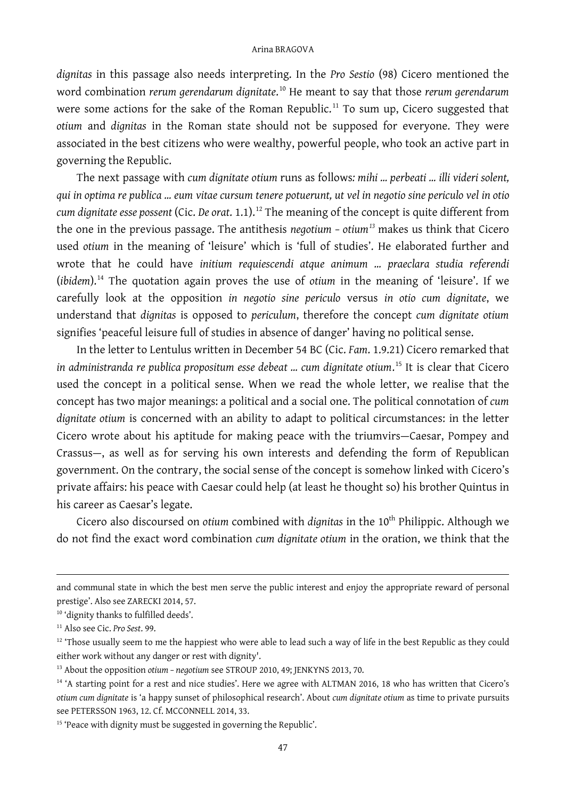*dignitas* in this passage also needs interpreting. In the *Pro Sestio* (98) Cicero mentioned the word combination *rerum gerendarum dignitate*. [10](#page-2-0) He meant to say that those *rerum gerendarum* were some actions for the sake of the Roman Republic.<sup>[11](#page-2-1)</sup> To sum up, Cicero suggested that *otium* and *dignitas* in the Roman state should not be supposed for everyone. They were associated in the best citizens who were wealthy, powerful people, who took an active part in governing the Republic.

The next passage with *cum dignitate otium* runs as follows*: mihi … perbeati … illi videri solent, qui in optima re publica … eum vitae cursum tenere potuerunt, ut vel in negotio sine periculo vel in otio cum dignitate esse possent* (Cic. *De orat*. 1.1).[12](#page-2-2) The meaning of the concept is quite different from the one in the previous passage. The antithesis *negotium – otium[13](#page-2-3)* makes us think that Cicero used *otium* in the meaning of 'leisure' which is 'full of studies'. He elaborated further and wrote that he could have *initium requiescendi atque animum … praeclara studia referendi*  (*ibidem*). [14](#page-2-4) The quotation again proves the use of *otium* in the meaning of 'leisure'. If we carefully look at the opposition *in negotio sine periculo* versus *in otio cum dignitate*, we understand that *dignitas* is opposed to *periculum*, therefore the concept *cum dignitate otium* signifies 'peaceful leisure full of studies in absence of danger' having no political sense.

In the letter to Lentulus written in December 54 BC (Cic. *Fam*. 1.9.21) Cicero remarked that *in administranda re publica propositum esse debeat … cum dignitate otium*. [15](#page-2-5) It is clear that Cicero used the concept in a political sense. When we read the whole letter, we realise that the concept has two major meanings: a political and a social one. The political connotation of *cum dignitate otium* is concerned with an ability to adapt to political circumstances: in the letter Cicero wrote about his aptitude for making peace with the triumvirs—Caesar, Pompey and Crassus—, as well as for serving his own interests and defending the form of Republican government. On the contrary, the social sense of the concept is somehow linked with Cicero's private affairs: his peace with Caesar could help (at least he thought so) his brother Quintus in his career as Caesar's legate.

Cicero also discoursed on *otium* combined with *dignitas* in the 10<sup>th</sup> Philippic. Although we do not find the exact word combination *cum dignitate otium* in the oration, we think that the

and communal state in which the best men serve the public interest and enjoy the appropriate reward of personal prestige'. Also see ZARECKI 2014, 57.

1

<span id="page-2-0"></span><sup>&</sup>lt;sup>10</sup> 'dignity thanks to fulfilled deeds'.

<span id="page-2-1"></span><sup>11</sup> Also see Cic. *Pro Sest*. 99.

<span id="page-2-2"></span> $12$  'Those usually seem to me the happiest who were able to lead such a way of life in the best Republic as they could either work without any danger or rest with dignity'.

<span id="page-2-3"></span><sup>&</sup>lt;sup>13</sup> About the opposition *otium - negotium* see STROUP 2010, 49; JENKYNS 2013, 70.

<span id="page-2-4"></span><sup>&</sup>lt;sup>14</sup> 'A starting point for a rest and nice studies'. Here we agree with ALTMAN 2016, 18 who has written that Cicero's *otium cum dignitate* is 'a happy sunset of philosophical research'. About *cum dignitate otium* as time to private pursuits see PETERSSON 1963, 12. Cf. MCCONNELL 2014, 33.

<span id="page-2-5"></span><sup>&</sup>lt;sup>15</sup> 'Peace with dignity must be suggested in governing the Republic'.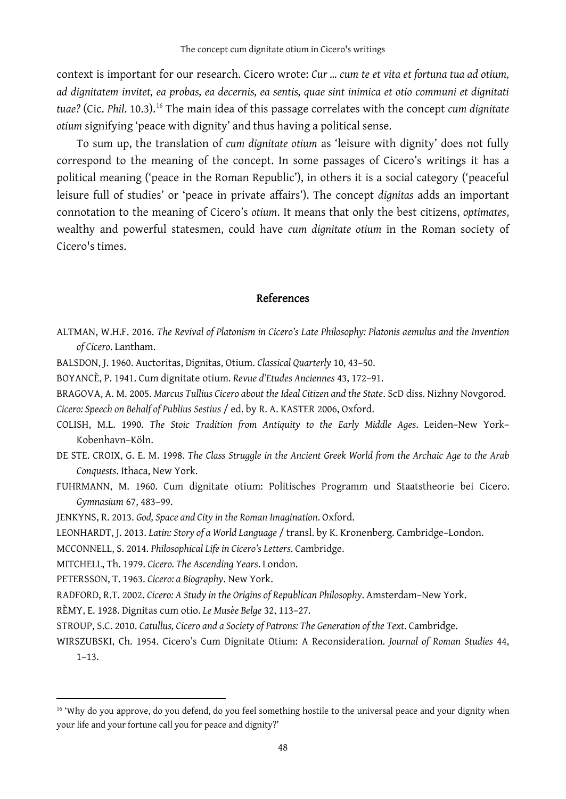context is important for our research. Cicero wrote: *Cur … cum te et vita et fortuna tua ad otium, ad dignitatem invitet, ea probas, ea decernis, ea sentis, quae sint inimica et otio communi et dignitati tuae?* (Cic. *Phil*. 10.3).[16](#page-3-0) The main idea of this passage correlates with the concept *cum dignitate otium* signifying 'peace with dignity' and thus having a political sense.

To sum up, the translation of *cum dignitate otium* as 'leisure with dignity' does not fully correspond to the meaning of the concept. In some passages of Cicero's writings it has a political meaning ('peace in the Roman Republic'), in others it is a social category ('peaceful leisure full of studies' or 'peace in private affairs'). The concept *dignitas* adds an important connotation to the meaning of Cicero's *otium*. It means that only the best citizens, *optimates*, wealthy and powerful statesmen, could have *cum dignitate otium* in the Roman society of Cicero's times.

## References

- ALTMAN, W.H.F. 2016. *The Revival of Platonism in Cicero's Late Philosophy: Platonis aemulus and the Invention of Cicero*. Lantham.
- BALSDON, J. 1960. Auctoritas, Dignitas, Otium. *Classical Quarterly* 10, 43–50.
- BOYANCЀ, P. 1941. Cum dignitate otium. *Revue d'Etudes Anciennes* 43, 172–91.
- BRAGOVA, A. M. 2005. *Marcus Tullius Cicero about the Ideal Citizen and the State*. ScD diss. Nizhny Novgorod. *Cicero: Speech on Behalf of Publius Sestius* / ed. by R. A. KASTER 2006, Oxford.
- COLISH, M.L. 1990. *The Stoic Tradition from Antiquity to the Early Middle Ages*. Leiden–New York– Kobenhavn–Kӧln.
- DE STE. CROIX, G. E. M. 1998. *The Class Struggle in the Ancient Greek World from the Archaic Age to the Arab Conquests*. Ithaca, New York.
- FUHRMANN, M. 1960. Cum dignitate otium: Politisches Programm und Staatstheorie bei Cicero. *Gymnasium* 67, 483–99.
- JENKYNS, R. 2013. *God, Space and City in the Roman Imagination*. Oxford.
- LEONHARDT, J. 2013. *Latin: Story of a World Language* / transl. by K. Kronenberg. Cambridge–London.
- MCCONNELL, S. 2014. *Philosophical Life in Cicero's Letters*. Cambridge.
- MITCHELL, Th. 1979. *Cicero. The Ascending Years*. London.
- PETERSSON, T. 1963. *Cicero: a Biography*. New York.

 $\ddot{\phantom{a}}$ 

RADFORD, R.T. 2002. *Cicero: A Study in the Origins of Republican Philosophy*. Amsterdam–New York.

RЀMY, E. 1928. Dignitas cum otio. *Le Musèe Belge* 32, 113–27.

- STROUP, S.C. 2010. *Catullus, Cicero and a Society of Patrons: The Generation of the Text*. Cambridge.
- WIRSZUBSKI, Ch. 1954. Cicero's Cum Dignitate Otium: A Reconsideration. *Journal of Roman Studies* 44, 1–13.

<span id="page-3-0"></span><sup>&</sup>lt;sup>16</sup> 'Why do you approve, do you defend, do you feel something hostile to the universal peace and your dignity when your life and your fortune call you for peace and dignity?'